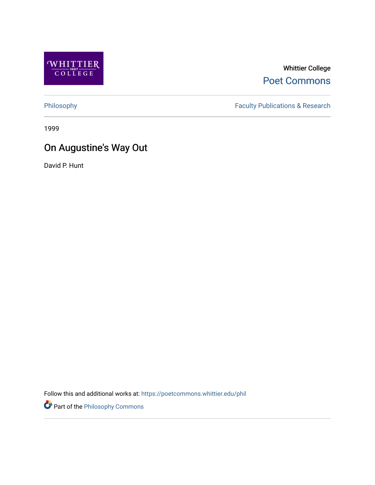

Whittier College [Poet Commons](https://poetcommons.whittier.edu/) 

[Philosophy](https://poetcommons.whittier.edu/phil) Faculty Publications & Research

1999

## On Augustine's Way Out

David P. Hunt

Follow this and additional works at: [https://poetcommons.whittier.edu/phil](https://poetcommons.whittier.edu/phil?utm_source=poetcommons.whittier.edu%2Fphil%2F11&utm_medium=PDF&utm_campaign=PDFCoverPages)

Part of the [Philosophy Commons](http://network.bepress.com/hgg/discipline/525?utm_source=poetcommons.whittier.edu%2Fphil%2F11&utm_medium=PDF&utm_campaign=PDFCoverPages)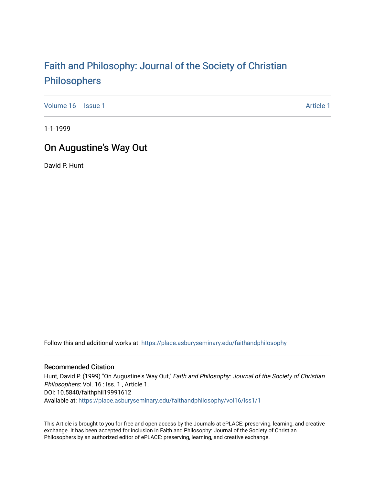# [Faith and Philosophy: Journal of the Society of Christian](https://place.asburyseminary.edu/faithandphilosophy)  [Philosophers](https://place.asburyseminary.edu/faithandphilosophy)

[Volume 16](https://place.asburyseminary.edu/faithandphilosophy/vol16) September 19 | [Issue 1](https://place.asburyseminary.edu/faithandphilosophy/vol16/iss1) [Article 1](https://place.asburyseminary.edu/faithandphilosophy/vol16/iss1/1) Article 1 Article 1 Article 1 Article 1

1-1-1999

### On Augustine's Way Out

David P. Hunt

Follow this and additional works at: [https://place.asburyseminary.edu/faithandphilosophy](https://place.asburyseminary.edu/faithandphilosophy?utm_source=place.asburyseminary.edu%2Ffaithandphilosophy%2Fvol16%2Fiss1%2F1&utm_medium=PDF&utm_campaign=PDFCoverPages)

#### Recommended Citation

Hunt, David P. (1999) "On Augustine's Way Out," Faith and Philosophy: Journal of the Society of Christian Philosophers: Vol. 16 : Iss. 1, Article 1. DOI: 10.5840/faithphil19991612 Available at: [https://place.asburyseminary.edu/faithandphilosophy/vol16/iss1/1](https://place.asburyseminary.edu/faithandphilosophy/vol16/iss1/1?utm_source=place.asburyseminary.edu%2Ffaithandphilosophy%2Fvol16%2Fiss1%2F1&utm_medium=PDF&utm_campaign=PDFCoverPages)

This Article is brought to you for free and open access by the Journals at ePLACE: preserving, learning, and creative exchange. It has been accepted for inclusion in Faith and Philosophy: Journal of the Society of Christian Philosophers by an authorized editor of ePLACE: preserving, learning, and creative exchange.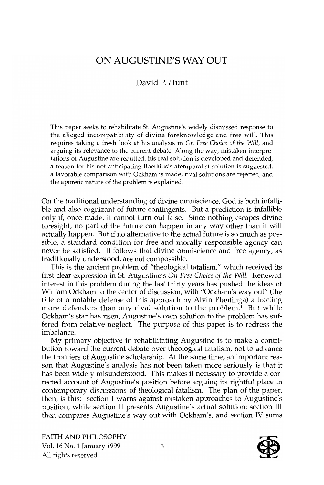### ON AUGUSTINE'S WAY OUT

#### David P. Hunt

This paper seeks to rehabilitate St. Augustine's widely dismissed response to the alleged incompatibility of divine foreknowledge and free will. This requires taking a fresh look at his analysis in *On Free Choice of the Will,* and arguing its relevance to the current debate. Along the way, mistaken interpretations of Augustine are rebutted, his real solution is developed and defended, a reason for his not anticipating Boethius's atemporalist solution is suggested, a favorable comparison with Ockham is made, rival solutions are rejected, and the aporetic nature of the problem is explained.

On the traditional understanding of divine omniscience, Cod is both infallible and also cognizant of future contingents. But a prediction is infallible only if, once made, it cannot turn out false. Since nothing escapes divine foresight, no part of the future can happen in any way other than it will actually happen. But if no alternative to the actual future is so much as possible, a standard condition for free and morally responsible agency can never be satisfied. It follows that divine omniscience and free agency, as traditionally understood, are not compossible.

This is the ancient problem of "theological fatalism," which received its first clear expression in St. Augustine's *On Free Choice of the Will.* Renewed interest in this problem during the last thirty years has pushed the ideas of William Ockham to the center of discussion, with "Ockham's way out" (the title of a notable defense of this approach by Alvin Plantinga) attracting more defenders than any rival solution to the problem.<sup>1</sup> But while Ockham's star has risen, Augustine's own solution to the problem has suffered from relative neglect. The purpose of this paper is to redress the imbalance.

My primary objective in rehabilitating Augustine is to make a contribution toward the current debate over theological fatalism, not to advance the frontiers of Augustine scholarship. At the same time, an important reason that Augustine's analysis has not been taken more seriously is that it has been widely misunderstood. This makes it necessary to provide a corrected account of Augustine's position before arguing its rightful place in contemporary discussions of theological fatalism. The plan of the paper, then, is this: section I warns against mistaken approaches to Augustine's position, while section II presents Augustine's actual solution; section III then compares Augustine's way out with Ockham's, and section IV sums

FAITH AND PHILOSOPHY Vol. 16No. 1 January 1999 All rights reserved

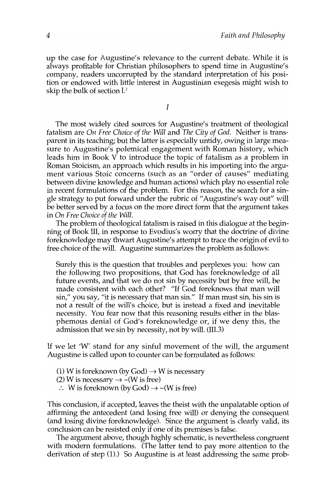up the case for Augustine's relevance to the current debate. While it is always profitable for Christian philosophers to spend time in Augustine's company, readers uncorrupted by the standard interpretation of his position or endowed with little interest in Augustinian exegesis might wish to skip the bulk of section *U* 

I

The most widely cited sources for Augustine's treatment of theological fatalism are *On Free Choice of the Will* and *The City of God.* Neither is transparent in its teaching; but the latter is especially untidy, owing in large measure to Augustine's polemical engagement with Roman history, which leads him in Book V to introduce the topic of fatalism as a problem in Roman Stoicism, an approach which results in his importing into the argument various Stoic concerns (such as an "order of causes" mediating between divine knowledge and human actions) which play no essential role in recent formulations of the problem. For this reason, the search for a single strategy to put forward under the rubric of "Augustine's way out" will be better served by a focus on the more direct form that the argument takes in 011 *Free Choice of the Will.* 

The problem of theological fatalism is raised in this dialogue at the beginning of Book III, in response to Evodius's worry that the doctrine of divine foreknowledge may thwart Augustine's attempt to trace the origin of evil to free choice of the will. Augustine summarizes the problem as follows:

Surely this is the question that troubles and perplexes you: how can the following two propositions, that God has foreknowledge of all future events, and that we do not sin by necessity but by free will, be made consistent with each other? "If God foreknows that man will sin," you say, "it is necessary that man sin." If man must sin, his sin is not a result of the will's choice, but is instead a fixed and inevitable necessity. You fear now that this reasoning results either in the blasphemous denial of God's foreknowledge or, if we deny this, the admission that we sin by necessity, not by will. (III.3)

If we let 'W' stand for any sinful movement of the will, the argument Augustine is called upon to counter can be formulated as follows:

- (1) W is foreknown (by God)  $\rightarrow$  W is necessary
- (2) W is necessary  $\rightarrow \sim$  (W is free)
- $\therefore$  W is foreknown (by God)  $\rightarrow \sim$  (W is free)

This conclusion, if accepted, leaves the theist with the unpalatable option of affirming the antecedent (and losing free will) or denying the consequent (and losing divine foreknowledge). Since the argument is clearly valid, its conclusion can be resisted only if one of its premises is false.

The argument above, though highly schematic, is nevertheless congruent with modern formulations. (The latter tend to pay more attention to the derivation of step (1).) So Augustine is at least addressing the same prob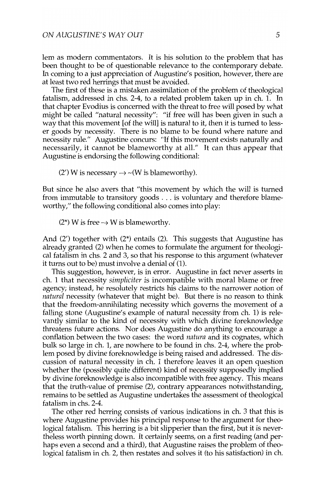lem as modern commentators. It is his solution to the problem that has been thought to be of questionable relevance to the contemporary debate. In coming to a just appreciation of Augustine's position, however, there are at least two red herrings that must be avoided.

The first of these is a mistaken assimilation of the problem of theological fatalism, addressed in chs. 2-4, to a related problem taken up in ch. 1. In that chapter Evodius is concerned with the threat to free will posed by what might be called "natural necessity": "if free will has been given in such a way that this movement [of the will] is natural to it, then it is turned to lesser goods by necessity. There is no blame to be found where nature and necessity rule." Augustine concurs: "If this movement exists naturally and necessarily, it cannot be blameworthy at all." It can thus appear that Augustine is endorsing the following conditional:

 $(2')$  W is necessary  $\rightarrow \sim$  (W is blameworthy).

But since he also avers that "this movement by which the will is turned from immutable to transitory goods ... is voluntary and therefore blameworthy," the following conditional also comes into play:

 $(2^*)$  W is free  $\rightarrow$  W is blameworthy.

And  $(2')$  together with  $(2^*)$  entails  $(2)$ . This suggests that Augustine has already granted (2) when he comes to formulate the argument for theological fatalism in chs. 2 and 3, so that his response to this argument (whatever it turns out to be) must involve a denial of (1).

This suggestion, however, is in error. Augustine in fact never asserts in ch. 1 that necessity *simpliciter* is incompatible with moral blame or free agency; instead, he resolutely restricts his claims to the narrower notion of *natural* necessity (whatever that might be). But there is no reason to think that the freedom-annihilating necessity which governs the movement of a falling stone (Augustine's example of natural necessity from ch. 1) is relevantly similar to the kind of necessity with which divine foreknowledge threatens future actions. Nor does Augustine do anything to encourage a conflation between the two cases: the word *natura* and its cognates, which bulk so large in ch. 1, are nowhere to be found in chs. 2-4, where the problem posed by divine foreknowledge is being raised and addressed. The discussion of natural necessity in ch. 1 therefore leaves it an open question whether the (possibly quite different) kind of necessity supposedly implied by divine foreknowledge is also incompatible with free agency. This means that the truth-value of premise (2), contrary appearances notwithstanding, remains to be settled as Augustine undertakes the assessment of theological fatalism in chs. 2-4.

The other red herring consists of various indications in ch. 3 that this is where Augustine provides his principal response to the argument for theological fatalism. This herring is a bit slipperier than the first, but it is nevertheless worth pinning down. It certainly seems, on a first reading (and perhaps even a second and a third), that Augustine raises the problem of theological fatalism in ch. 2, then restates and solves it (to his satisfaction) in ch.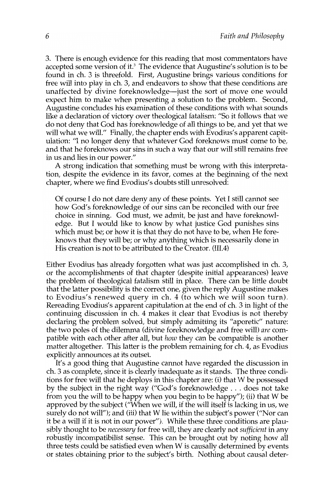3. There is enough evidence for this reading that most commentators have accepted some version of it.<sup>3</sup> The evidence that Augustine's solution is to be found in ch. 3 is threefold. First, Augustine brings various conditions for free will into play in ch. 3, and endeavors to show that these conditions are unaffected by divine foreknowledge—just the sort of move one would expect him to make when presenting a solution to the problem. Second, Augustine concludes his examination of these conditions with what sounds like a declaration of victory over theological fatalism: "So it follows that we do not deny that God has foreknowledge of all things to be, and yet that we will what we will." Finally, the chapter ends with Evodius's apparent capitulation: "I no longer deny that whatever God foreknows must come to be, and that he foreknows our sins in such a way that our will still remains free in us and lies in our power."

A strong indication that something must be wrong with this interpretation, despite the evidence in its favor, comes at the beginning of the next chapter, where we find Evodius's doubts still unresolved:

Of course I do not dare deny any of these points. Yet I still cannot see how God's foreknowledge of our sins can be reconciled with our free choice in sinning. God must, we admit, be just and have foreknowledge. But I would like to know by what justice God punishes sins which must be; or how it is that they do not have to be, when He foreknows that they will be; or why anything which is necessarily done in His creation is not to be attributed to the Creator. (III.4)

Either Evodius has already forgotten what was just accomplished in ch. 3, or the accomplishments of that chapter (despite initial appearances) leave the problem of theological fatalism still in place. There can be little doubt that the latter possibility is the correct one, given the reply Augustine makes to Evodius's renewed query in ch. 4 (to which we will soon turn). Rereading Evodius's apparent capitulation at the end of ch. 3 in light of the continuing discussion in ch. 4 makes it clear that Evodius is not thereby declaring the problem solved, but simply admitting its "aporetic" nature: the two poles of the dilemma (divine foreknowledge and free will) *are* compatible with each other after all, but *how* they can be compatible is another matter altogether. This latter is the problem remaining for ch. 4, as Evodius explicitly announces at its outset.

It's a good thing that Augustine cannot have regarded the discussion in ch. 3 as complete, since it is clearly inadequate as it stands. The three conditions for free will that he deploys in this chapter are: (i) that W be possessed by the subject in the right way ("God's foreknowledge ... does not take from you the will to be happy when you begin to be happy"); (ii) that W be approved by the subject ("When we will, if the will itself is lacking in us, we surely do not will"); and (iii) that W lie within the subject's power ("Nor can it be a will if it is not in our power"). While these three conditions are plausibly thought to be *necessary* for free will, they are clearly not *sufficient* in any robustly incompatibilist sense. This can be brought out by noting how all three tests could be satisfied even when W is causally determined by events or states obtaining prior to the subject's birth. Nothing about causal deter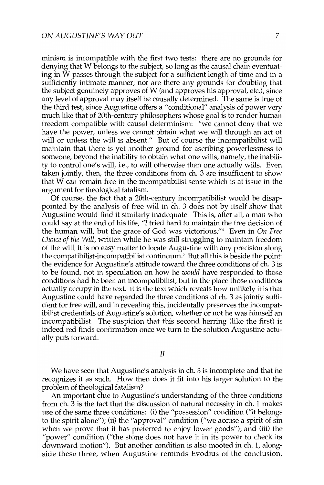minism is incompatible with the first two tests: there are no grounds for denying that W belongs to the subject, so long as the causal chain eventuating in W passes through the subject for a sufficient length of time and in a sufficiently intimate manner; nor are there any grounds for doubting that the subject genuinely approves of W (and approves his approval, etc.), since any level of approval may itself be causally determined. The same is true of the third test, since Augustine offers a "conditional" analysis of power very much like that of 20th-century philosophers whose goal is to render human freedom compatible with causal determinism: "we cannot deny that we have the power, unless we cannot obtain what we will through an act of will or unless the will is absent." But of course the incompatibilist will maintain that there is yet another ground for ascribing powerlessness to someone, beyond the inability to obtain what one wills, namely, the inability to control one's will, i.e., to will otherwise than one actually wills. Even taken jointly, then, the three conditions from ch. 3 are insufficient to show that W can remain free in the incompatibilist sense which is at issue in the argument for theological fatalism.

Of course, the fact that a 20th-century incompatibilist would be disappointed by the analysis of free will in ch. 3 does not by itself show that Augustine would find it similarly inadequate. This is, after all, a man who could say at the end of his life, "I tried hard to maintain the free decision of the human will, but the grace of God was victorious."<sup>4</sup> Even in *On Free Choice of the Will,* written while he was still struggling to maintain freedom of the will, it is no easy matter to locate Augustine with any precision along the compatibilist-incompatibilist continuum." But all this is beside the point: the evidence for Augustine's attitude toward the three conditions of ch. 3 is to be found, not in speculation on how he *would* have responded to those conditions had he been an incompatibilist, but in the place those conditions actually occupy in the text. It is the text which reveals how unlikely it is that Augustine could have regarded the three conditions of ch. 3 as jointly sufficient for free will, and in revealing this, incidentally preserves the incompatibilist credentials of Augustine's solution, whether or not he was himself an incompatibilist. The suspicion that this second herring (like the first) is indeed red finds confirmation once we tum to the solution Augustine actually puts forward.

II

We have seen that Augustine's analysis in ch. 3 is incomplete and that he recognizes it as such. How then does it fit into his larger solution to the problem of theological fatalism?

An important clue to Augustine's understanding of the three conditions from ch. 3 is the fact that the discussion of natural necessity in ch. 1 makes use of the same three conditions: (i) the "possession" condition ("it belongs to the spirit alone"); (ii) the "approval" condition ("we accuse a spirit of sin when we prove that it has preferred to enjoy lower goods"); and (iii) the "power" condition ("the stone does not have it in its power to check its downward motion"). But another condition is also mooted in ch. I, alongside these three, when Augustine reminds Evodius of the conclusion,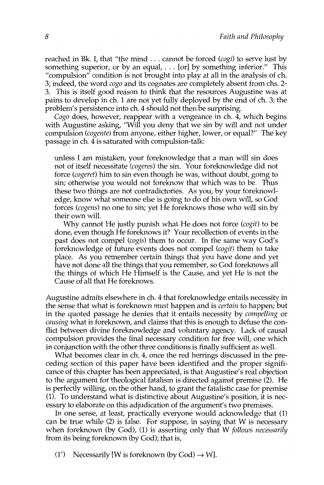reached in Bk. I, that "the mind ... cannot be forced *(cogi)* to serve lust by something superior, or by an equal, ... [or] by something inferior." This "compulsion" condition is not brought into play at all in the analysis of ch. 3; indeed, the word *cogo* and its cognates are completely absent from chs. 2- 3. This is itself good reason to think that the resources Augustine was at pains to develop in ch. 1 are not yet fully deployed by the end of ch. 3; the problem's persistence into ch. 4 should not then be surprising.

*Cogo* does, however, reappear with a vengeance in ch. 4, which begins with Augustine asking, "Will you deny that we sin by will and not under compulsion *(cogente)* from anyone, either higher, lower, or equal?" The key passage in ch. 4 is saturated with compulsion-talk:

unless I am mistaken, your foreknowledge that a man will sin does not of itself necessitate *(cogeres)* the sin. Your foreknowledge did not force *(cogeret)* him to sin even though he was, without doubt, going to sin; otherwise you would not foreknow that which was to be. Thus these two things are not contradictories. As you, by your foreknowledge, know what someone else is going to do of his own will, so God forces *(cogens)* no one to sin; yet He foreknows those who will sin by their own will.

Why cannot He justly punish what He does not force *(cogit)* to be done, even though He foreknows it? Your recollection of events in the past does not compel *(cogis)* them to occur. In the same way God's foreknowledge of future events does not compel *(cogit)* them to take place. As you remember certain things that you have done and yet have not done all the things that you remember, so God foreknows all the things of which He Himself is the Cause, and yet He is not the Cause of all that He foreknows.

Augustine admits elsewhere in ch. 4 that foreknowledge entails necessity in the sense that what is foreknown *must* happen and is *certain* to happen; but in the quoted passage he denies that it entails necessity by *compelling* or *causing* what is foreknown, and claims that this is enough to defuse the conflict between divine foreknowledge and voluntary agency. Lack of causal compulsion provides the final necessary condition for free will, one which in conjunction with the other three conditions is finally sufficient as well.

What becomes clear in ch. 4, once the red herrings discussed in the preceding section of this paper have been identified and the proper significance of this chapter has been appreciated, is that Augustine's real objection to the argument for theological fatalism is directed against premise (2). He is perfectly willing, on the other hand, to grant the fatalistic case for premise 0). To understand what is distinctive about Augustine's position, it is necessary to elaborate on this adjudication of the argument's two premises.

In one sense, at least, practically everyone would acknowledge that (1) can be true while (2) is false. For suppose, in saying that W is necessary when foreknown (by God), (1) is asserting only that W *follows necessarily*  from its being foreknown (by God); that is,

(1') Necessarily [W is foreknown (by God)  $\rightarrow$  W].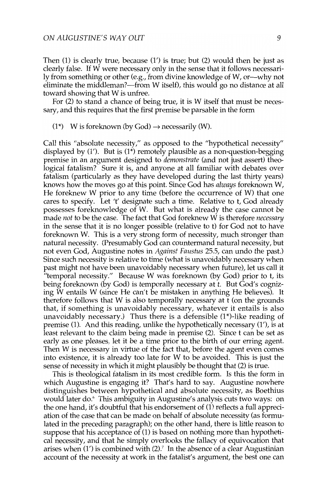Then  $(1)$  is clearly true, because  $(1')$  is true; but  $(2)$  would then be just as clearly false. If W were necessary only in the sense that it follows necessarily from something or other (e.g., from divine knowledge of W, or-why not eliminate the middleman?—from W itself), this would go no distance at all toward showing that W is unfree.

For (2) to stand a chance of being true, it is W itself that must be necessary, and this requires that the first premise be parsable in the form

 $(1^*)$  W is foreknown (by God)  $\rightarrow$  necessarily (W).

Call this "absolute necessity," as opposed to the "hypothetical necessity" displayed by  $(1')$ . But is  $(1^*)$  remotely plausible as a non-question-begging premise in an argument designed to *demonstrate* (and not just assert) theological fatalism? Sure it is, and anyone at all familiar with debates over fatalism (particularly as they have developed during the last thirty years) knows how the moves go at this point. Since God has *always* foreknown W, He foreknew W prior to any time (before the occurrence of W) that one cares to specify. Let 't' designate such a time. Relative to t, God already possesses foreknowledge of W. But what is already the case cannot be made *not* to be the case. The fact that God foreknew W is therefore *necessary*  in the sense that it is no longer possible (relative to t) for God not to have foreknown W. This is a very strong form of necessity, much stronger than natural necessity. (Presumably God can countermand natural necessity, but not even God, Augustine notes in *Against Faustus* 25.5, can undo the past.) Since such necessity is relative to time (what is unavoidably necessary when past might not have been unavoidably necessary when future), let us call it "temporal necessity." Because W was foreknown (by God) prior to t, its being foreknown (by God) is temporally necessary at t. But God's cognizing W entails W (since He can't be mistaken in anything He believes). It therefore follows that W is also temporally necessary at t (on the grounds that, if something is unavoidably necessary, whatever it entails is also unavoidably necessary.) Thus there is a defensible  $(1^*)$ -like reading of premise (1). And this reading, unlike the hypothetically necessary  $(1')$ , is at least relevant to the claim being made in premise (2). Since t can be set as early as one pleases, let it be a time prior to the birth of our erring agent. Then W is necessary in virtue of the fact that, before the agent even comes into existence, it is already too late for W to be avoided. This is just the sense of necessity in which it might plausibly be thought that (2) is true.

This is theological fatalism in its most credible form. Is this the form in which Augustine is engaging it? That's hard to say. Augustine nowhere distinguishes between hypothetical and absolute necessity, as Boethius would later do." This ambiguity in Augustine's analysis cuts two ways: on the one hand, it's doubtful that his endorsement of (1) reflects a full appreciation of the case that can be made on behalf of absolute necessity (as formulated in the preceding paragraph); on the other hand, there is little reason to suppose that his acceptance of (1) is based on nothing more than hypothetical necessity, and that he simply overlooks the fallacy of equivocation that arises when  $(1')$  is combined with  $(2)$ .<sup>7</sup> In the absence of a clear Augustinian account of the necessity at work in the fatalist's argument, the best one can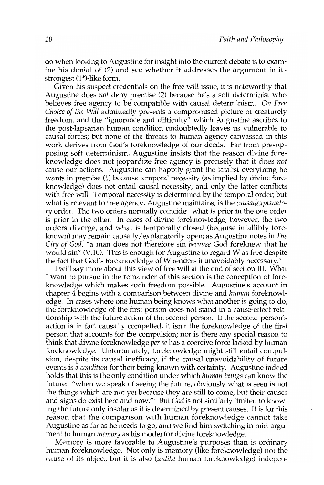do when looking to Augustine for insight into the current debate is to examine his denial of (2) and see whether it addresses the argument in its strongest  $(1^*)$ -like form.

Given his suspect credentials on the free will issue, it is noteworthy that Augustine does *not* deny premise (2) because he's a soft determinist who believes free agency to be compatible with causal determinism. *On Free Choice of the Will admittedly presents a compromised picture of creaturely* freedom, and the "ignorance and difficulty" which Augustine ascribes to the post-Iapsarian human condition undoubtedly leaves us vulnerable to causal forces; but none of the threats to human agency canvassed in this work derives from God's foreknowledge of our deeds. Far from presupposing soft determinism, Augustine insists that the reason divine foreknowledge does not jeopardize free agency is precisely that it does *not*  cause our actions. Augustine can happily grant the fatalist everything he wants in premise (1) because temporal necessity (as implied by divine foreknowledge) does not entail causal necessity, and only the latter conflicts with free will. Temporal necessity is determined by the temporal order; but what is relevant to free agency, Augustine maintains, is the *causal/explanatory* order. The two orders normally coincide: what is prior in the one order is prior in the other. In cases of divine foreknowledge, however, the two orders diverge, and what is temporally closed (because infallibly foreknown) may remain causally/explanatorily open; as Augustine notes in *The City of God,* "a man does not therefore sin *because* God foreknew that he would sin" (V.lO). This is enough for Augustine to regard W as free despite the fact that God's foreknowledge of W renders it unavoidably necessary.<sup>8</sup>

I will say more about this view of free will at the end of section Ill. What I want to pursue in the remainder of this section is the conception of foreknowledge which makes such freedom possible. Augustine's account in chapter 4 begins with a comparison between divine and *human* foreknowledge. In cases where one human being knows what another is going to do, the foreknowledge of the first person does not stand in a cause-effect relationship with the future action of the second person. If the second person's action is in fact causally compelled, it isn't the foreknowledge of the first person that accounts for the compulsion; nor is there any special reason to think that divine foreknowledge *per* se has a coercive force lacked by human foreknowledge. Unfortunately, foreknowledge might still entail compulsion, despite its causal inefficacy, if the causal unavoidability of future events is a *condition* for their being known with certainty. Augustine indeed holds that this is the only condition under which *human beings* can know the future: "when we speak of seeing the future, obviously what is seen is not the things which are not yet because they are still to come, but their causes and signs do exist here and now.'''' But *God* is not similarly limited to knowing the future only insofar as it is determined by present causes. It is for this reason that the comparison with human foreknowledge cannot take Augustine as far as he needs to go, and we find him switching in mid-argument to human *memory* as his model for divine foreknowledge.

Memory is more favorable to Augustine's purposes than is ordinary human foreknowledge. Not only is memory (like foreknowledge) not the cause of its object, but it is also *(unlike* human foreknowledge) indepen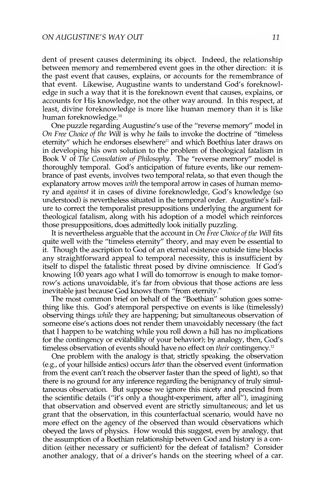dent of present causes determining its object. Indeed, the relationship between memory and remembered event goes in the other direction: it is the past event that causes, explains, or accounts for the remembrance of that event. Likewise, Augustine wants to understand God's foreknowledge in such a way that it is the foreknown event that causes, explains, or accounts for His knowledge, not the other way around. In this respect, at least, divine foreknowledge is more like human memory than it is like human foreknowledge.<sup>10</sup>

One puzzle regarding Augustine's use of the "reverse memory" model in *On Free Choice of the Will* is why he fails to invoke the doctrine of "timeless eternity" which he endorses elsewhere" and which Boethius later draws on in developing his own solution to the problem of theological fatalism in Book V of *The Consolation of Philosophy.* The "reverse memory" model is thoroughly temporal. God's anticipation of future events, like our remembrance of past events, involves two temporal relata, so that even though the explanatory arrow moves *with* the temporal arrow in cases of human memory and *against* it in cases of divine foreknowledge, God's knowledge (so understood) is nevertheless situated in the temporal order. Augustine's failure to correct the temporalist presuppositions underlying the argument for theological fatalism, along with his adoption of a model which reinforces those presuppositions, does admittedly look initially puzzling.

It is nevertheless arguable that the account in *On Free Choice of the* Will fits quite well with the "timeless eternity" theory, and may even be essential to it. Though the ascription to God of an eternal existence outside time blocks any straightforward appeal to temporal necessity, this is insufficient by itself to dispel the fatalistic threat posed by divine omniscience. If God's knowing 100 years ago what I will do tomorrow is enough to make tomorrow's actions unavoidable, it's far from obvious that those actions are less inevitable just because God knows them "from eternity."

The most common brief on behalf of the "Boethian" solution goes something like this. God's atemporal perspective on events is like (timelessly) observing things *while* they are happening; but simultaneous observation of someone else's actions does not render them unavoidably necessary (the fact that I happen to be watching while you roll down a hill has no implications for the contingency or evitability of your behavior); by analogy, then, God's timeless observation of events should have no effect on *their* contingency.12

One problem with the analogy is that, strictly speaking, the observation (e.g., of your hillside antics) occurs *later* than the observed event (information from the event can't reach the observer faster than the speed of light), so that there is no ground for any inference regarding the benignancy of truly simultaneous observation. But suppose we ignore this nicety and prescind from the scientific details ("it's only a thought-experiment, after all"), imagining that observation and observed event are strictly simultaneous; and let us grant that the observation, in this counterfactual scenario, would have no more effect on the agency of the observed than would observations which obeyed the laws of physics. How would this suggest, even by analogy, that the assumption of a Boethian relationship between God and history is a condition (either necessary or sufficient) for the defeat of fatalism? Consider another analogy, that of a driver's hands on the steering wheel of a car.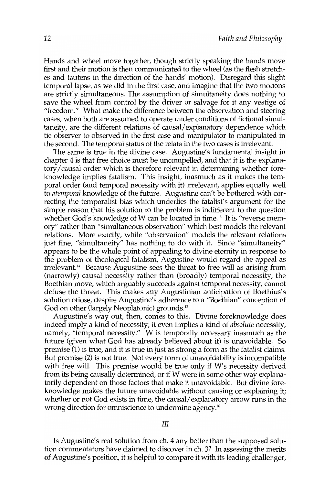Hands and wheel move together, though strictly speaking the hands move first and their motion is then communicated to the wheel (as the flesh stretches and tautens in the direction of the hands' motion). Disregard this slight temporal lapse, as we did in the first case, and imagine that the two motions are strictly simultaneous. The assumption of simultaneity does nothing to save the wheel from control by the driver or salvage for it any vestige of "freedom." What make the difference between the observation and steering cases, when both are assumed to operate under conditions of fictional simultaneity, are the different relations of causal/explanatory dependence which tie observer to observed in the first case and manipulator to manipulated in the second. The temporal status of the relata in the two cases is irrelevant.

The same is true in the divine case. Augustine's fundamental insight in chapter 4 is that free choice must be uncompelled, and that it is the explanatory / causal order which is therefore relevant in determining whether foreknowledge implies fatalism. This insight, inasmuch as it makes the temporal order (and temporal necessity with it) irrelevant, applies equally well to *atemporal* knowledge of the future. Augustine can't be bothered with correcting the temporalist bias which underlies the fatalist's argument for the simple reason that his solution to the problem is indifferent to the question whether God's knowledge of W can be located in time.<sup>13</sup> It is "reverse memory" rather than "simultaneous observation" which best models the relevant relations. More exactly, while "observation" models the relevant relations just fine, "simultaneity" has nothing to do with it. Since "simultaneity" appears to be the whole point of appealing to divine eternity in response to the problem of theological fatalism, Augustine would regard the appeal as irrelevant.'• Because Augustine sees the threat to free will as arising from (narrowly) causal necessity rather than (broadly) temporal necessity, the Boethian move, which arguably succeeds against temporal necessity, cannot defuse the threat. This makes any Augustinian anticipation of Boethius's solution otiose, despite Augustine's adherence to a "Boethian" conception of God on other (largely Neoplatonic) grounds.'s

Augustine's way out, then, comes to this. Divine foreknowledge does indeed imply a kind of necessity; it even implies a kind of *absolute* necessity, namely, "temporal necessity." W is temporally necessary inasmuch as the future (given what God has already believed about it) is unavoidable. So premise (1) is true, and it is true in just as strong a form as the fatalist claims. But premise (2) is not true. Not every form of unavoidability is incompatible with free will. This premise would be true only if W's necessity derived from its being causally determined, or if W were in some other way explanatorily dependent on those factors that make it unavoidable. But divine foreknowledge makes the future unavoidable without causing or explaining it; whether or not God exists in time, the causal/explanatory arrow runs in the wrong direction for omniscience to undermine agency.<sup>16</sup>

#### III

Is Augustine's real solution from ch. 4 any better than the supposed solution commentators have claimed to discover in ch. 3? In assessing the merits of Augustine's position, it is helpful to compare it with its leading challenger,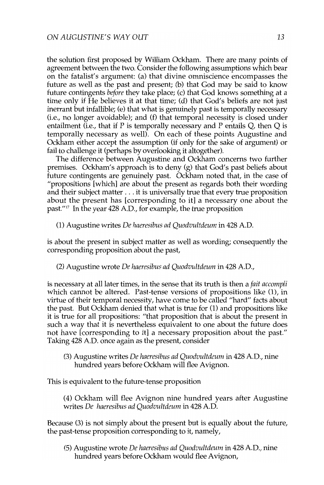the solution first proposed by William Ockham. There are many points of agreement between the two. Consider the following assumptions which bear on the fatalist's argument: (a) that divine omniscience encompasses the future as well as the past and present; (b) that God may be said to know future contingents *before* they take place; (c) that God knows something at a time only if He believes it at that time; (d) that God's beliefs are not just inerrant but infallible; (e) that what is genuinely past is temporally necessary (i.e., no longer avoidable); and (f) that temporal necessity is dosed under entailment (i.e., that if  $P$  is temporally necessary and  $P$  entails  $Q$ , then  $Q$  is temporally necessary as well). On each of these points Augustine and Ockham either accept the assumption (if only for the sake of argument) or fail to challenge it (perhaps by overlooking it altogether).

The difference between Augustine and Ockham concerns two further premises. Ockham's approach is to deny (g) that God's past beliefs about future contingents are genuinely past. Ockham noted that, in the case of "propositions [which] are about the present as regards both their wording and their subject matter ... it is universally true that every true proposition about the present has [corresponding to it] a necessary one about the past."17 In the year 428 AD., for example, the true proposition

0) Augustine writes *De haeresibus ad Quodvultdeum* in 428 AD.

is about the present in subject matter as well as wording; consequently the corresponding proposition about the past,

(2) Augustine wrote *De haeresibus ad Quodvultdeum* in 428 AD.,

is necessary at all later times, in the sense that its truth is then a *fait accompli*  which cannot be altered. Past-tense versions of propositions like (1), in virtue of their temporal necessity, have come to be called "hard" facts about the past. But Ockham denied that what is true for (1) and propositions like it is true for all propositions: "that proposition that is about the present in such a way that it is nevertheless equivalent to one about the future does not have [corresponding to it] a necessary proposition about the past." Taking 428 AD. once again as the present, consider

(3) Augustine writes *De haeresibus ad Quodvultdeum* in 428 AD., nine hundred years before Ockham will flee Avignon.

This is equivalent to the future-tense proposition

(4) Ockham will flee Avignon nine hundred years after Augustine writes *De haeresibus ad Quodvultdeum* in 428 AD.

Because (3) is not simply about the present but is equally about the future, the past-tense proposition corresponding to it, namely,

(5) Augustine wrote *De hacresibus ad Quodvultdellm* in 428 AD., nine hundred years before Ockham would flee Avignon,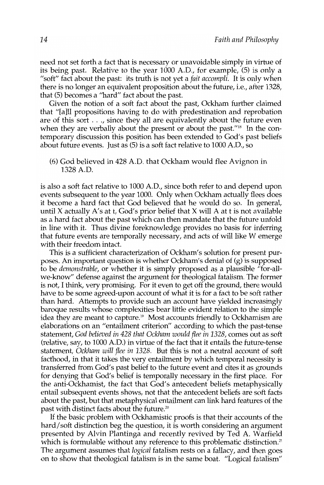need not set forth a fact that is necessary or unavoidable simply in virtue of its being past. Relative to the year 1000 AD., for example, (5) is only a "soft" fact about the past: its truth is not yet a *fait accompli.* It is only when there is no longer an equivalent proposition about the future, i.e., after 1328, that (5) becomes a "hard" fact about the past.

Given the notion of a soft fact about the past, Ockham further claimed that "[a]ll propositions having to do with predestination and reprobation are of this sort  $\ldots$ , since they all are equivalently about the future even when they are verbally about the present or about the past." $\frac{1}{18}$  In the contemporary discussion this position has been extended to God's past beliefs about future events. Just as  $(5)$  is a soft fact relative to 1000 A.D., so

(6) God believed in 428 A.D. that Ockham would flee Avignon in 1328 A.D.

is also a soft fact relative to 1000 AD., since both refer to and depend upon events subsequent to the year 1000. Only when Ockham actually flees does it become a hard fact that God believed that he would do so. In general, until X actually  $A$ 's at t, God's prior belief that X will  $A$  at t is not available as a hard fact about the past which can then mandate that the future unfold in line with it. Thus divine foreknowledge provides no basis for inferring that future events are temporally necessary, and acts of will like W emerge with their freedom intact.

This is a sufficient characterization of Ockham's solution for present purposes. An important question is whether Ockham's denial of (g) is supposed to be *demonstrable,* or whether it is simply proposed as a plausible "for-allwe-know" defense against the argument for theological fatalism. The former is not, I think, very promising. For it even to get off the ground, there would have to be some agreed-upon account of what it is for a fact to be soft rather than hard. Attempts to provide such an account have yielded increasingly baroque results whose complexities bear little evident relation to the simple idea they are meant to capture.<sup>19</sup> Most accounts friendly to Ockhamism are elaborations on an "entailment criterion" according to which the past-tense statement, *God believed in* 428 *that Ockham would flee in* 1328, comes out as soft (relative, say, to 1000 AD.) in virtue of the fact that it entails the future-tense statement, *Ockham will flee in* 1328. But this is not a neutral account of soft facthood, in that it takes the very entailment by which temporal necessity is transferred from God's past belief to the future event and cites it as grounds for denying that God's belief is temporally necessary in the first place. For the anti-Ockhamist, the fact that God's antecedent beliefs metaphysically entail subsequent events shows, not that the antecedent beliefs are soft facts about the past, but that metaphysical entailment can link hard features of the past with distinct facts about the future.<sup>20</sup>

If the basic problem with Ockhamistic proofs is that their accounts of the hard/soft distinction beg the question, it is worth considering an argument presented by Alvin Plantinga and recently revived by Ted A Warfield which is formulable without any reference to this problematic distinction.<sup>21</sup> The argument assumes that *logical* fatalism rests on a fallacy, and then goes on to show that theological fatalism is in the same boat. "Logical fatalism"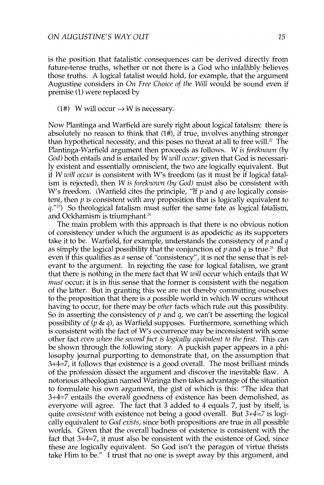is the position that fatalistic consequences can be derived directly from future-tense truths, whether or not there is a God who infallibly believes those truths. A logical fatalist would hold, for example, that the argument Augustine considers in *On Free Choice of the Will* would be sound even if premise (1) were replaced by

(1#) W will occur  $\rightarrow$  W is necessary.

Now Plantinga and Warfield are surely right about logical fatalism: there is absolutely no reason to think that  $(1#)$ , if true, involves anything stronger than hypothetical necessity, and this poses no threat at all to free will.<sup>22</sup> The Plantinga-Warfield argument then proceeds as follows. W is *foreknown (by God)* both entails and is entailed by W *will occur;* given that God is necessarily existent and essentially omniscient, the two are logically equivalent. But if W *will occur* is consistent with W's freedom (as it must be if logical fatalism is rejected), then W is *foreknown* (by *God)* must also be consistent with W's freedom. (Warfield cites the principle, "If  $p$  and  $q$  are logically consistent, then *p* is consistent with any proposition that is logically equivalent to *q."23)* So theological fatalism must suffer the same fate as logical fatalism, and Ockhamism is triumphant.<sup>24</sup>

The main problem with this approach is that there is no obvious notion of consistency under which the argument is as apodeictic as its supporters take it to be. Warfield, for example, understands the consistency of *p* and *q*  as simply the logical possibility that the conjunction of *p* and *q* is true.25 But even if this qualifies as *a* sense of "consistency", it is not the sense that is relevant to the argument. In rejecting the case for logical fatalism, we grant that there is nothing in the mere fact that W *will* occur which entails that W *must* occur; it is in this sense that the former is consistent with the negation of the latter. But in granting this we are not thereby committing ourselves to the proposition that there is a possible world in which W occurs without having to occur, for there may be *other* facts which rule out this possibility. So in asserting the consistency of  $p$  and  $q$ , we can't be asserting the logical possibility of  $(p \& q)$ , as Warfield supposes. Furthermore, something which is consistent with the fact of W's occurrence may be inconsistent with some other fact *even when the second fact* is *logically equivalent to the first.* This can be shown through the following story. A puckish paper appears in a philosophy journal purporting to demonstrate that, on the assumption that 3+4=7, it follows that existence is a good overall. The most brilliant minds of the profession dissect the argument and discover the inevitable flaw. A notorious atheologian named Waringa then takes advantage of the situation to formulate his own argument, the gist of which is this: "The idea that 3+4=7 entails the overall goodness of existence has been demolished, as everyone will agree. The fact that 3 added to 4 equals 7, just by itself, is quite *consistent* with existence not being a good overall. But 3+4=7 is logically equivalent to *God exists,* since both propositions are true in all possible worlds. Given that the overall badness of existence is consistent with the fact that 3+4=7, it must also be consistent with the existence of God, since these are logically equivalent. So God isn't the paragon of virtue theists take Him to be." I trust that no one is swept away by this argument, and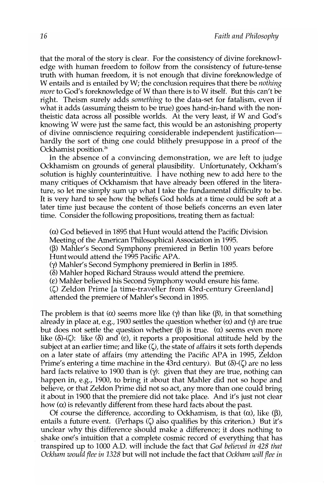that the moral of the story is clear. For the consistency of divine foreknowledge with human freedom to follow from the consistency of future-tense truth with human freedom, it is not enough that divine foreknowledge of W entails and is entailed by W; the conclusion requires that there be *nothing more* to God's foreknowledge of W than there is to W itself. But this can't be right. Theism surely adds *something* to the data-set for fatalism, even if what it adds (assuming theism to be true) goes hand-in-hand with the nontheistic data across all possible worlds. At the very least, if Wand God's knowing W were just the same fact, this would be an astonishing property of divine omniscience requiring considerable independent justificationhardly the sort of thing one could blithely presuppose in a proof of the Ockhamist position.<sup>26</sup>

In the absence of a convincing demonstration, we are left to judge Ockhamism on grounds of general plausibility. Unfortunately, Ockham's solution is highly counterintuitive. I have nothing new to add here to the many critiques of Ockhamism that have already been offered in the literature, so let me simply sum up what I take the fundamental difficulty to be. lt is very hard to see how the beliefs God holds at a time could be soft at a later time just because the content of those beliefs concerns an even later time. Consider the following propositions, treating them as factual:

 $(\alpha)$  God believed in 1895 that Hunt would attend the Pacific Division Meeting of the American Philosophical Association in 1995.

(β) Mahler's Second Symphony premiered in Berlin 100 years before Huntwould attend the 1995 Pacific APA.

(y) Mahler's Second Symphony premiered in Berlin in 1895.

(8) Mahler hoped Richard Strauss would attend the premiere.

(£) Mahler believed his Second Symphony would ensure his fame.

 $(\zeta)$  Zeldon Prime [a time-traveller from 43rd-century Greenland] attended the premiere of Mahler's Second in 1895.

The problem is that  $(\alpha)$  seems more like  $(\gamma)$  than like  $(\beta)$ , in that something already in place at, e.g., 1900 settles the question whether  $(\alpha)$  and  $(\gamma)$  are true but does not settle the question whether  $(\beta)$  is true.  $(\alpha)$  seems even more like  $(\delta)$ - $(\zeta)$ : like  $(\delta)$  and  $(\varepsilon)$ , it reports a propositional attitude held by the subject at an earlier time; and like  $(\zeta)$ , the state of affairs it sets forth depends on a later state of affairs (my attending the Pacific APA in 1995, Zeldon Prime's entering a time machine in the 43rd century). But  $(\delta)$ - $(\zeta)$  are no less hard facts relative to 1900 than is  $(y)$ : given that they are true, nothing can happen in, e.g., 1900, to bring it about that Mahler did not so hope and believe, or that Zeldon Prime did not so act, any more than one could bring it about in 1900 that the premiere did not take place. And it's just not clear how  $(\alpha)$  is relevantly different from these hard facts about the past.

Of course the difference, according to Ockhamism, is that  $(\alpha)$ , like  $(\beta)$ , entails a future event. (Perhaps  $(\zeta)$  also qualifies by this criterion.) But it's unclear why this difference should make a difference; it does nothing to shake one's intuition that a complete cosmic record of everything that has transpired up to 1000 A.D. will include the fact that *God believed in* 428 *that Ockham would flee in* 1328 but will not include the fact that *Ockham will flee in*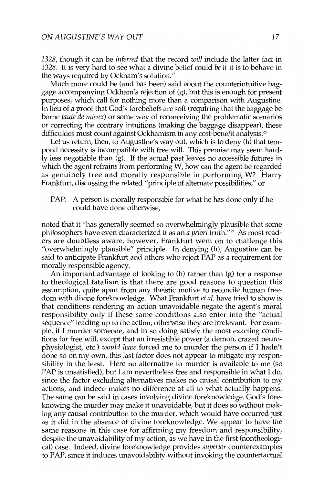1328, though it can be *inferred* that the record *will* include the latter fact in 1328. It is very hard to see what a divine belief could *be* if it is to behave in the ways required by Ockham's solution.<sup>27</sup>

Much more could be (and has been) said about the counterintuitive baggage accompanying Ockham's rejection of  $(g)$ , but this is enough for present purposes, which call for nothing more than a comparison with Augustine. **In** lieu of a proof that God's forebeliefs are soft (requiring that the baggage be borne *faute de mieux)* or some way of reconceiving the problematic scenarios or correcting the contrary intuitions (making the baggage disappear), these difficulties must count against Ockhamism in any cost-benefit analysis.<sup>28</sup>

Let us return, then, to Augustine's way out, which is to deny (h) that temporal necessity is incompatible with free will. This premise may seem hard-Iv less negotiable than  $(g)$ . If the actual past leaves no accessible futures in which the agent refrains from performing W, how can the agent be regarded as genuinely free and morally responsible in performing W? Harry Frankfurt, discussing the related "principle of alternate possibilities," or

PAP: A person is morally responsible for what he has done only if he could have done otherwise,

noted that it "has generally seemed so overwhelmingly plausible that some philosophers have even characterized it as an *a priori* truth."29 As most readers are doubtless aware, however, Frankfurt went on to challenge this "overwhelmingly plausible" principle. **In** denying (h), Augustine can be said to anticipate Frankfurt and others who reject PAP as a requirement for morally responsible agency.

An important advantage of looking to (h) rather than (g) for a response to theological fatalism is that there are good reasons to question this assumption, quite apart from any theistic motive to reconcile human freedom with divine foreknowledge. What Frankfurt *et al.* have tried to show is that conditions rendering an action unavoidable negate the agent's moral responsibility only if these same conditions also enter into the "actual sequence" leading up to the action; otherwise they are irrelevant. For example, if I murder someone, and in so doing satisfy the most exacting conditions for free will, except that an irresistible power (a demon, crazed neurophysiologist, etc.) *would have* forced me to murder the person if I hadn't done so on my own, this last factor does not appear to mitigate my responsibility in the least. Here no alternative to murder is available to me (so PAP is unsatisfied), but I am nevertheless free and responsible in what I do, since the factor excluding alternatives makes no causal contribution to my actions, and indeed makes no difference at all to what actually happens. The same can be said in cases involving divine foreknowledge. God's foreknowing the murder may make it unavoidable, but it does so without making any causal contribution to the murder, which would have occurred just as it did in the absence of divine foreknowledge. We appear to have the same reasons in this case for affirming my freedom and responsibility, despite the unavoidability of my action, as we have in the first (nontheological) case. Indeed, divine foreknowledge provides *superior* counterexamples to PAP, since it induces unavoidability without invoking the counterfactual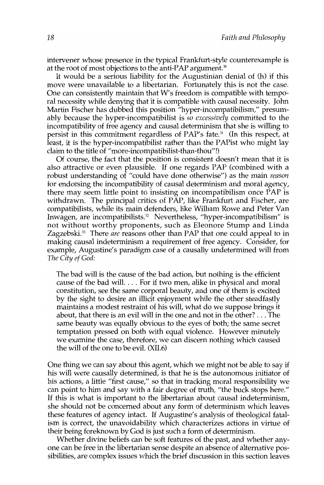intervener whose presence in the typical Frankfurt-style counterexample is at the root of most objections to the anti-PAP argument.<sup>30</sup>

It would be a serious liability for the Augustinian denial of (h) if this move were unavailable to a libertarian. Fortunately this is not the case. One can consistently maintain that W's freedom is compatible with temporal necessity while denying that it is compatible with causal necessity. John Martin Fischer has dubbed this position "hyper-incompatibilism," presumably because the hyper-incompatibilist is *so excessively* committed to the incompatibility of free agency and causal determinism that she is willing to persist in this commitment regardless of PAP's fate. <sup>3</sup>! (In this respect, at least, it is the hyper-incompatibilist rather than the PAPist who might lay claim to the title of "more-incompatibilist-than-thou"!)

Of course, the fact that the position is consistent doesn't mean that it is also attractive or even plausible. If one regards PAP (combined with a robust understanding of "could have done otherwise") as the main *reason*  for endorsing the incompatibility of causal determinism and moral agency, there may seem little point to insisting on incompatibilism once PAP is withdrawn. The principal critics of PAP, like Frankfurt and Fischer, are compatibilists, while its main defenders, like William Rowe and Peter Van Inwagen, are incompatibilists.32 Nevertheless, "hyper-incompatibilism" is not without worthy proponents, such as Eleonore Stump and Linda Zagzebski.<sup>33</sup> There *are* reasons other than PAP that one could appeal to in making causal indeterminism a requirement of free agency. Consider, for example, Augustine's paradigm case of a causally undetermined will from *The City of God:* 

The bad will is the cause of the bad action, but nothing is the efficient cause of the bad will .... For if two men, alike in physical and moral constitution, see the same corporal beauty, and one of them is excited by the sight to desire an illicit enjoyment while the other steadfastly maintains a modest restraint of his will, what do we suppose brings it about, that there is an evil will in the one and not in the other? ... The same beauty was equally obvious to the eyes of both; the same secret temptation pressed on both with equal violence. However minutely we examine the case, therefore, we can discern nothing which caused the will of the one to be evil. (XII.6)

One thing we can say about this agent, which we might not be able to say if his will were causally determined, is that he is the autonomous initiator of his actions, a little "first cause," so that in tracking moral responsibility we can point to him and say with a fair degree of truth, "the buck stops here." If this is what is important to the libertarian about causal indeterminism, she should not be concerned about any form of determinism which leaves these features of agency intact. If Augustine's analysis of theological fatalism is correct, the unavoidability which characterizes actions in virtue of their being foreknown by God is just such a form of determinism.

Whether divine beliefs can be soft features of the past, and whether anyone can be free in the libertarian sense despite an absence of alternative possibilities, are complex issues which the brief discussion in this section leaves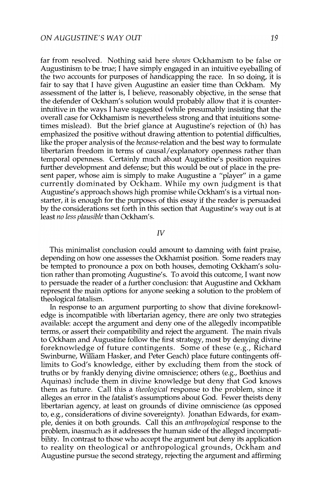far from resolved. Nothing said here *shows* Ockhamism to be false or Augustinism to be true; I have simply engaged in an intuitive eyeballing of the two accounts for purposes of handicapping the race. In so doing, it is fair to say that I have given Augustine an easier time than Ockham. My assessment of the latter is, I believe, reasonably objective, in the sense that the defender of Ockham's solution would probably allow that it is counterintuitive in the ways I have suggested (while presumably insisting that the overall case for Ockhamism is nevertheless strong and that intuitions sometimes mislead). But the brief glance at Augustine's rejection of (h) has emphasized the positive without drawing attention to potential difficulties, like the proper analysis of the *because-relation* and the best way to formulate libertarian freedom in terms of causal/explanatory openness rather than temporal openness. Certainly much about Augustine's position requires further development and defense; but this would be out of place in the present paper, whose aim is simply to make Augustine a "player" in a game currently dominated by Ockham. While my own judgment is that Augustine's approach shows high promise while Ockham's is a virtual nonstarter, it is enough for the purposes of this essay if the reader is persuaded by the considerations set forth in this section that Augustine's way out is at least *no less plausible* than Ockham's.

#### IV

This minimalist conclusion could amount to damning with faint praise, depending on how one assesses the Ockhamist position. Some readers may be tempted to pronounce a pox on both houses, demoting Ockham's solution rather than promoting Augustine's. To avoid this outcome, I want now to persuade the reader of a further conclusion: that Augustine and Ockham represent the main options for anyone seeking a solution to the problem of theological fatalism.

In response to an argument purporting to show that divine foreknowledge is incompatible with libertarian agency, there are only two strategies available: accept the argument and deny one of the allegedly incompatible terms, or assert their compatibility and reject the argument. The main rivals to Ockham and Augustine follow the first strategy, most by denying divine foreknowledge of future contingents. Some of these (e.g., Richard Swinburne, William Hasker, and Peter Geach) place future contingents offlimits to God's knowledge, either by excluding them from the stock of truths or by frankly denying divine omniscience; others (e.g., Boethius and Aquinas) include them in divine knowledge but deny that God knows them as future. Call this a *theological* response to the problem, since it alleges an error in the fatalist's assumptions about God. Fewer theists deny libertarian agency, at least on grounds of divine omniscience (as opposed to, e.g., considerations of divine sovereignty). Jonathan Edwards, for example, denies it on both grounds. Call this an *anthropological* response to the problem, inasmuch as it addresses the human side of the alleged incompatibility. In contrast to those who accept the argument but deny its application to reality on theological or anthropological grounds, Ockham and Augustine pursue the second strategy, rejecting the argument and affirming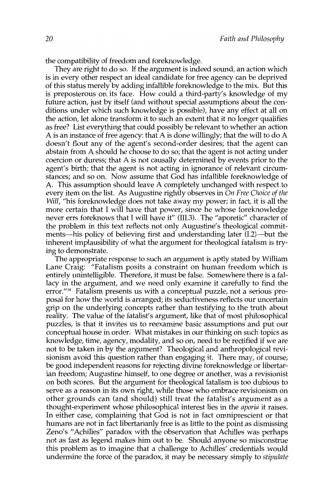the compatibility of freedom and foreknowledge.

They are right to do so. If the argument is indeed sound, an action which is in every other respect an ideal candidate for free agency can be deprived of this status merely by adding infallible foreknowledge to the mix. But this is preposterous on its face. How could a third-party's knowledge of my future action, just by itself (and without special assumptions about the conditions under which such knowledge is possible), have any effect at all on the action, let alone transform it to such an extent that it no longer qualifies as free? List everything that could possibly be relevant to whether an action A is an instance of free agency: that A is done willingly; that the will to do A doesn't flout any of the agent's second-order desires; that the agent can abstain from A should he choose to do so; that the agent is not acting under coercion or duress; that A is not causally determined by events prior to the agent's birth; that the agent is not acting in ignorance of relevant circumstances; and so on. Now assume that God has infallible foreknowledge of A. This assumption should leave A completely unchanged with respect to every item on the list. As Augustine rightly observes in *On Free Choice of the*  Will, "his foreknowledge does not take away my power; in fact, it is all the more certain that I will have that power, since he whose foreknowledge never errs foreknows that I will have it" (IIL3). The "aporetic" character of the problem in this text reflects not only Augustine's theological commitments—his policy of believing first and understanding later (I.2)—but the inherent implausibility of what the argument for theological fatalism is trying to demonstrate.

The appropriate response to such an argument is aptly stated by William Lane Craig: "Fatalism posits a constraint on human freedom which is entirely unintelligible. Therefore, it must be false. Somewhere there is a fallacy in the argument, and we need only examine it carefully to find the error."<sup>34</sup> Fatalism presents us with a conceptual puzzle, not a serious proposal for how the world is arranged; its seductiveness reflects our uncertain grip on the underlying concepts rather than testifying to the truth about reality. The value of the fatalist's argument, like that of most philosophical puzzles, is that it invites us to reexamine basic assumptions and put our conceptual house in order. What mistakes in our thinking on such topics as knowledge, time, agency, modality, and so on, need to be rectified if we are not to be taken in by the argument? Theological and anthropological revisionism avoid this question rather than engaging it. There may, of course, be good independent reasons for rejecting divine foreknowledge or libertarian freedom; Augustine himself, to one degree or another, was a revisionist on both scores. But the argument for theological fatalism is too dubious to serve as a reason in its own right, while those who embrace revisionism on other grounds can (and should) still treat the fatalist's argument as a thought-experiment whose philosophical interest lies in the *aporia* it raises. In either case, complaining that God is not in fact omniprescient or that humans are not in fact libertarianly free is as little to the point as dismissing Zeno's "Achilles" paradox with the observation that Achilles was perhaps not as fast as legend makes him out to be. Should anyone so misconstrue this problem as to imagine that a challenge to Achilles' credentials would undermine the force of the paradox, it may be necessary simply to *stipulate*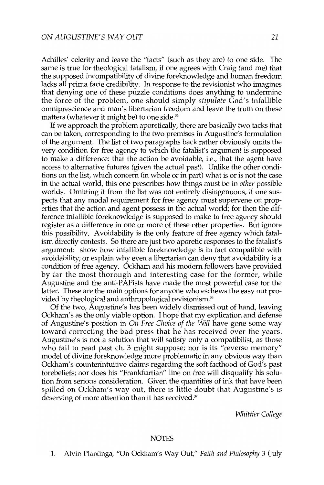Achilles' celerity and leave the "facts" (such as they are) to one side. The same is true for theological fatalism, if one agrees with Craig (and me) that the supposed incompatibility of divine foreknowledge and human freedom lacks all prima facie credibility. In response to the revisionist who imagines that denying one of these puzzle conditions does anything to undermine the force of the problem, one should simply *stipulate* God's infallible omniprescience and man's libertarian freedom and leave the truth on these matters (whatever it might be) to one side.<sup>35</sup>

If we approach the problem aporetically, there are basically two tacks that can be taken, corresponding to the two premises in Augustine's formulation of the argument. The list of two paragraphs back rather obviously omits the very condition for free agency to which the fatalist's argument is supposed to make a difference: that the action be avoidable, i.e., that the agent have access to alternative futures (given the actual past). Unlike the other conditions on the list, which concern (in whole or in part) what is or is not the case in the actual world, this one prescribes how things must be in *other* possible worlds. Omitting it from the list was not entirely disingenuous, if one suspects that any modal requirement for free agency must supervene on properties that the action and agent possess in the actual world; for then the difference infallible foreknowledge is supposed to make to free agency should register as a difference in one or more of these other properties. But ignore this possibility. Avoidability is the only feature of free agency which fatalism directly contests. So there are just two aporetic responses to the fatalist's argument: show how infallible foreknowledge is in fact compatible with avoidability; or explain why even a libertarian can deny that avoidability is a condition of free agency. Ockham and his modem followers have provided by far the most thorough and interesting case for the former, while Augustine and the anti-PAPists have made the most powerful case for the latter. These are the main options for anyone who eschews the easy out provided by theological and anthropological revisionism.<sup>36</sup>

Of the two, Augustine'S has been widely dismissed out of hand, leaving Ockham's as the only viable option. I hope that my explication and defense of Augustine's position in *On Free Choice of the Will* have gone some way toward correcting the bad press that he has received over the years. Augustine's is not a solution that will satisfy only a compatibilist, as those who fail to read past ch. 3 might suppose; nor is its "reverse memory" model of divine foreknowledge more problematic in any obvious way than Ockham's counterintuitive claims regarding the soft facthood of God's past forebeliefs; nor does his "Frankfurtian" line on free will disqualify his solution from serious consideration. Given the quantities of ink that have been spilled on Ockham's way out, there is little doubt that Augustine's is deserving of more attention than it has received.<sup>37</sup>

*Whittier College* 

#### NOTES

1. Alvin Plantinga, "On Ockham's Way Out," *Faith and Philosophy* 3 (July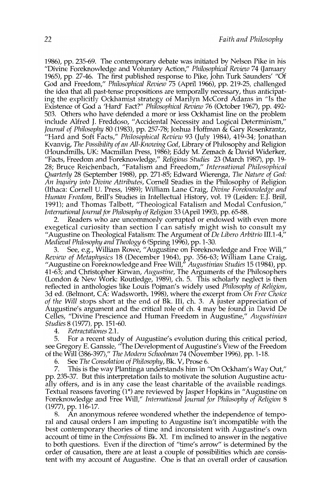1986), pp. 235-69. The contemporary debate was initiated by Nelson Pike in his "Divine Foreknowledge and Voluntary Action," *Philosophical Review 1'4* Uanuary 1965), pp. 27-46. The first published response to Pike, John Turk Saunders' "Of God and Freedom," *Philosophical Review* 75 (April 1966), pp. 219-25, challenged the idea that all past-tense propositions are temporally necessary, thus anticipating the explicitly Ockhamist strategy of Marilyn McCord Adams in "Is the Existence of God a 'Hard' Fact?" *Philosophical Review* 76 (October 1967), pp. 492- 503. Others who have defended a more or less Ockhamist line on the problem include Alfred J. Freddoso, "Accidental Necessity and Logical Determinism," *Journal of Philosophy* 80 (1983), pp. 257-78; Joshua Hoffman & Gary Rosenkrantz, "Hard and Soft Facts," *Philosophical Review* 93 (July 1984), 419-34, Jonathan Kvanvig, *The Possibility of an All-Knowing God,* Library of Philosophy and Religion (Houndmills, UK: Macmillan Press, 1986); Eddy M. Zemach & David Widerker, "Facts, Freedom and Foreknowledge," *Religious Studies* 23 (March 1987), pp. 19- 28; Bruce Reichenbach, "Fatalism and Freedom," *International Philosophical Quarterly* 28 (September 1988), pp. 271-85; Edward Wierenga, *The Nature of God: An Inquiry into Divine Attributes,* Cornell Studies in the Philosophy of Religion (Ithaca: Cornell U. Press, 1989); William Lane Craig, *Divine Foreknowledge and Human Freedom,* Brill's Studies in Intellectual History, vol. 19 (Leiden: E.J. Brill, 1991); and Thomas Talbott, "Theological Fatalism and Modal Confusion," *International Journal for Philosophy of Religion* 33 (April 1993), pp. 65-88.

2. Readers who are uncommonly corrupted or endowed with even more exegetical curiosity than section I can satisfy might wish to consult my "Augustine on Theological Fatalism: The Argument of *De Libero Arbitrio* III.1-4," *Medieval Philosophy and Theology* 6 (Spring 1996), pp. 1-30.

3. See, e.g., William Rowe, "Augustine on Foreknowledge and Free Will," *Review of Metaphysics* 18 (December 1964), pp. 356-63; William Lane Craig, "Augustine on Foreknowledge and Free Will," *Augustinian Studies* 15 (984), pp. 41-63; and Christopher Kirwan, *Allgustine,* The Arguments of the Philosophers (London & New Work: Routledge, 1989), ch. 5. This scholarly neglect is then reflected in anthologies like Louis Pojman's widely used *Philosophy of Religion,*  3d ed. (Belmont, CA: Wadsworth, 1998), where the excerpt from *On Free Choice of the Will* stops short at the end of Bk. III, ch. 3. A juster appreciation of Augustine's argument and the critical role of ch. 4 may be found in David De Celles, "Divine Prescience and Human Freedom in Augustine," *Augustinian Studies* 8 (1977), pp. 151-60.

*4. Retractationes 2.1.* 

5. For a recent study of Augustine's evolution during this critical period, see Gregory E. Ganssle, "The Development of Augustine's View of the Freedom of the Will (386-397)," *The Modern Schoolman* 74 (November 1996), pp. 1-18.

6. See *The Consolation of Philosophy,* Bk. V, Prose 6.

7. This is the way Plantinga understands him in "On Ockham's Way Out," pp. 235-37. But this interpretation fails to motivate the solution Augustine actually offers, and is in any case the least charitable of the available readings. Textual reasons favoring (1\*) are reviewed by Jasper Hopkins in "Augustine on Foreknowledge and Free Will," *international Journal for Philosophy of Religion 8*  (1977), pp. 116-17.

8. An anonymous referee wondered whether the independence of temporal and causal orders I am imputing to Augustine isn't incompatible with the best contemporary theories of time and inconsistent with Augustine's own account of time in the *Confessions* Bk. XI. I'm inclined to answer in the negative to both questions. Even if the direction of "time's arrow' is determined by the order of causation, there are at least a couple of possibilities which are consistent with my account of Augustine. One is that an overall order of causation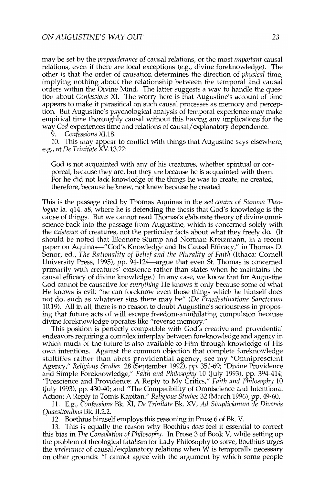may be set by the *preponderance* of causal relations, or the most *important* causal relations, even if there are local exceptions (e.g., divine foreknowledge). The other is that the order of causation determines the direction of *physical* time, implying nothing about the relationship between the temporal and causal orders within the Divine Mind. The latter suggests a way to handle the question about *Confessions* XI. The worry here is that Augustine's account of time appears to make it parasitical on such causal processes as memory and perception. But Augustine's psychological analysis of temporal experience may make empirical time thoroughly causal without this having any implications for the way *God* experiences time and relations of causal/explanatory dependence.

*9. Confessions* XI.lS.

10. This may appear to conflict with things that Augustine says elsewhere, e.g., at *De Trinitate* XV.13.22:

God is not acquainted with any of his creatures, whether spiritual or corporeal, because they are, but they are because he is acquainted with them. For he did not lack knowledge of the things he was to create; he created, therefore, because he knew, not knew because he created.

This is the passage cited by Thomas Aquinas in the *sed contra* of *Summa Theologiae* Ia. q14. as, where he is defending the thesis that God's knowledge is the cause of things. But we cannot read Thomas's elaborate theory of divine omniscience back into the passage from Augustine, which is concerned solely with the *existence* of creatures, not the particular facts about what they freely do. (It should be noted that Eleonore Stump and Norman Kretzmann, in a recent paper on Aquinas-"God's Knowledge and Its Causal Efficacy," in Thomas D. Senor, ed., *The Rationality of Belief and the Plurality of Faith* (Ithaca: Cornell University Press, 1995), pp. 94-124-argue that even St. Thomas is concerned primarily with creatures' existence rather than states when he maintains the causal efficacy of divine knowledge.) In any case, we know that for Augustine God cannot be causative for *euerything* He knows if only because some of what He knows is evil: "he can foreknow even those things which he himself does not do, such as whatever sins there may be" (De *Praedestinatione Sanctorum*  10.19). All in all, there is no reason to doubt Augustine's seriousness in proposing that future acts of will escape freedom-annihilating compulsion because divine foreknowledge operates like "reverse memory."

This position is perfectly compatible with God's creative and providential endeavors requiring a complex interplay between foreknowledge and agency in which much of the future is also available to Him through knowledge of His own intentions. Against the common objection that complete foreknowledge stultifies rather than abets providential agency, see my "Omniprescient Agency," *Religious Studies* 2S (September 1992), pp. 351-69; "Divine Providence and Simple Foreknowledge," *Faith and Philosophy* 10 (fuly 1993), pp. 394-414; "Prescience and Providence: A Reply to My Critics," *Faith and Philosophy* 10 (July 1993), pp. 430-40; and "The Compatibility of Omniscience and Intentional Action: A Reply to Tomis Kapitan," *Religious Studies* 32 (March 1996), pp. 49-60.

11. E.g., Confessions Bk. XI, *De Trinitate Bk. XV, Ad Simplicianum de Diversis Quaestionibus* Bk. 11.2.2.

12. Boethius himself employs this reasoning in Prose 6 of Bk. V.

13. This is equally the reason why Boethius *does* feel it essential to correct this bias in *The Consolation of Philosophy.* In Prose 3 of Book V, while setting up the problem of theological fatalism for Lady Philosophy to solve, Boethius urges the *irrelevance* of causal/explanatory relations when W is temporally necessary on other grounds: "I cannot agree with the argument by which some people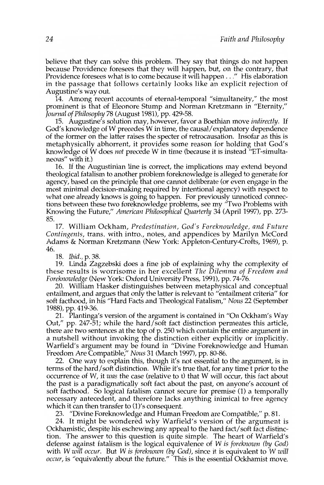believe that they can solve this problem. They say that things do not happen because Providence foresees that they will happen, but, on the contrary, that Providence foresees what is to come because it will happen ... " His elaboration in the passage that follows certainly looks like an explicit rejection of Augustine's way out.

14. Among recent accounts of eternal-temporal "simultaneity," the most prominent is that of Eleonore Stump and Norman Kretzmann in "Eternity," *Journal of Philosophy* 78 (August 1981), pp. 429-58.

15. Augustine's solution may, however, favor a Boethian move *indirectly.* If God's knowledge of W precedes W in time, the causal/explanatory dependence of the former on the latter raises the specter of retrocausation. Insofar as this is metaphysically abhorrent, it provides some reason for holding that God's knowledge of W does *not* precede W in time (because it is instead "ET-simultaneous" with it.)

16. If the Augustinian line is correct, the implications may extend beyond theological fatalism to another problem foreknowledge is alleged to generate for agency, based on the principle that one cannot deliberate (or even engage in the most minimal decision-making required by intentional agency) with respect to what one already knows is going to happen. For previously unnoticed connections between these two foreknowledge problems, see my "Two Problems with Knowing the Future," *American Philosophical Quarterly* 34 (April 1997), pp. 273- 85.

17. William Ockham, *Predestination, God's Foreknowledge, and Future Contingents,* trans. with intro., notes, and appendices by Marilyn McCord Adams & Norman Kretzmann (New York: Appleton-Century-Crofts, 1969), p. 46.

*18. Ibid.,* p. 38.

19. Linda Zagzebski does a fine job of explaining why the complexity of these results is worrisome in her excellent *The Dilemma of Freedom and Foreknowledge* (New York: Oxford University Press, 1991), pp. 74-76.

20. William Hasker distinguishes between metaphysical and conceptual entailment, and argues that only the latter is relevant to "entailment criteria" for soft facthood, in his "Hard Facts and Theological Fatalism," *NOlls* 22 (September 1988), pp. 419-36.

21. Plantinga's version of the argument is contained in "On Ockham's Way Out," pp. 247-51; while the hard/soft fact distinction permeates this article, there are two sentences at the top of p. 250 which contain the entire argument in a nutshell without invoking the distinction either explicitly or implicitly. Warfield's argument may be found in "Divine Foreknowledge and Human Freedom Are Compatible," *Nous* 31 (March 1997), pp. 80-86.

22. One way to explain this, though it's not essential to the argument, is in terms of the hard / soft distinction. While it's true that, for any time t prior to the occurrence of W, it *was* the case (relative to t) that W will occur, this fact about the past is a paradigmatically soft fact about the past, on anyone's account of soft facthood. So logical fatalism cannot secure for premise (1) a temporally necessary antecedent, and therefore lacks anything inimical to free agency which it can then transfer to (1)'s consequent.

23. "Divine Foreknowledge and Human Freedom are Compatible," p. 81.

24. It might be wondered why Warfield's version of the argument is Ockhamistic, despite his eschewing any appeal to the hard fact/soft fact distinction. The answer to this question is quite simple. The heart of Warfield's defense against fatalism is the logical equivalence of W *is foreknown* (by *God)*  with W *will occur.* But W is *foreknown* (by *God),* since it is equivalent to W *will occur,* is "equivalently about the future." This is the essential Ockhamist move.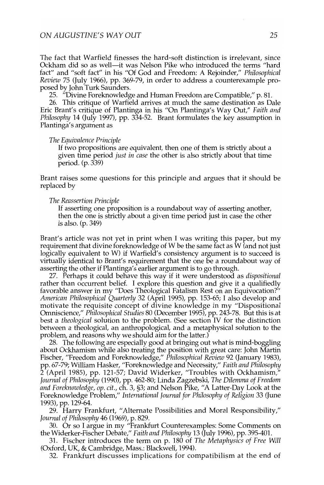The fact that Warfield finesses the hard-soft distinction is irrelevant, since Ockham did so as well-it was Nelson Pike who introduced the terms "hard fact" and "soft fact" in his "Of God and Freedom: A Rejoinder," *Philosophical Review* 75 (July 1966), pp. 369-79, in order to address a counterexample proposed by John Turk Saunders.

25. "Divine Foreknowledge and Human Freedom are Compatible," p. 8l.

26. This critique of Warfield arrives at much the same destination as Dale Eric Brant's critique of Plantinga in his "On Plantinga's Way Out," *Faith and Philosophy* 14 (July 1997), pp. 334-52. Brant formulates the key assumption in Plantinga's argument as

#### *The Equivalence Principle*

If two propositions are equivalent, then one of them is strictly about a given time period *just in case* the other is also strictly about that time period. (p. 339)

Brant raises some questions for this principle and argues that it should be replaced by

#### *The Reassertion Principle*

If asserting one proposition is a roundabout way of asserting another, then the one is strictly about a given time period just in case the other is also. (p. 349)

Brant's article was not yet in print when I was writing this paper, but my requirement that divine foreknowledge of W be the same fact as W (and not just logically equivalent to W) if Warfield's consistency argument is to succeed is virtually identical to Brant's requirement that the one be a roundabout way of asserting the other if Plantinga's earlier argument is to go through.

27. Perhaps it could behave this way if it were understood as *dispositional*  rather than occurrent belief. I explore this question and give it a qualifiedly favorable answer in my "Does Theological Fatalism Rest on an Equivocation?" *American Philosophical Quarterly* 32 (April 1995), pp. 153-65; I also develop and motivate the requisite concept of divine knowledge in my "Dispositional Omniscience," *Philosophical Studies* 80 (December 1995), pp. 243-78. But this is at best a *theological* solution to the problem. (See section TV for the distinction between a theological, an anthropological, and a metaphysical solution to the problem, and reasons why we should aim for the latter.)

28. The following are especially good at bringing out what is mind-boggling about Ockhamism while also treating the position with great care: John Martin Fischer, "Freedom and Foreknowledge," *Philosophical Review* 92 (January 1983), pp. 67-79; William Hasker, "Foreknowledge and Necessity," *Faith and Philosophy*  2 (April 1985), pp. 121-57; David Widerker, "Troubles with Ockhamism," *Journal of Philosophy* (1990), pp. 462-80; Linda Zagzebski, *The Dilemma of Freedom and Foreknowledge, op. cit.,* ch. 3, §3; and Nelson Pike, "A Latter-Day Look at the Foreknowledge Problem," *International Journal for Philosophy of Religion* 33 (June 1993), pp. 129-64.

29. Harry Frankfurt, "Alternate Possibilities and Moral Responsibility," *Journal of Philosophy* 46 (1969), p. 829.

30. Or so I argue in my "Frankfurt Counterexamples: Some Comments on the Widerker-Fischer Debate," *Faith and Philosophy* 13 (July 1996), pp. 395-401.

31. Fischer introduces the term on p. 180 of *The Metaphysics of Free Will*  (Oxford, UK, & Cambridge, Mass.: Blackwell, 1994).

32. Frankfurt discusses implications for compatibilism at the end of